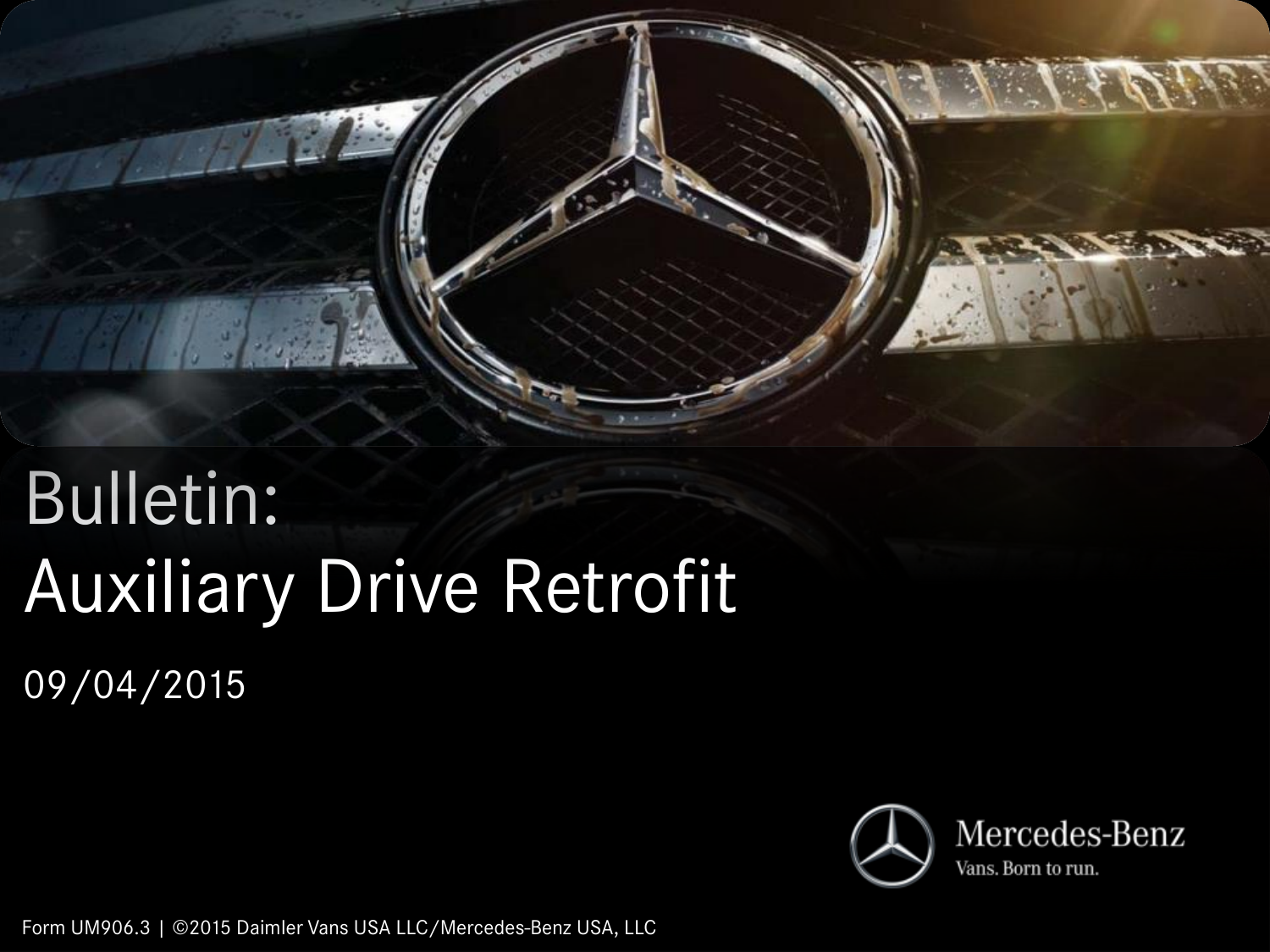

# Bulletin: Auxiliary Drive Retrofit 09/04/2015



Form UM906.3 | ©2015 Daimler Vans USA LLC/Mercedes-Benz USA, LLC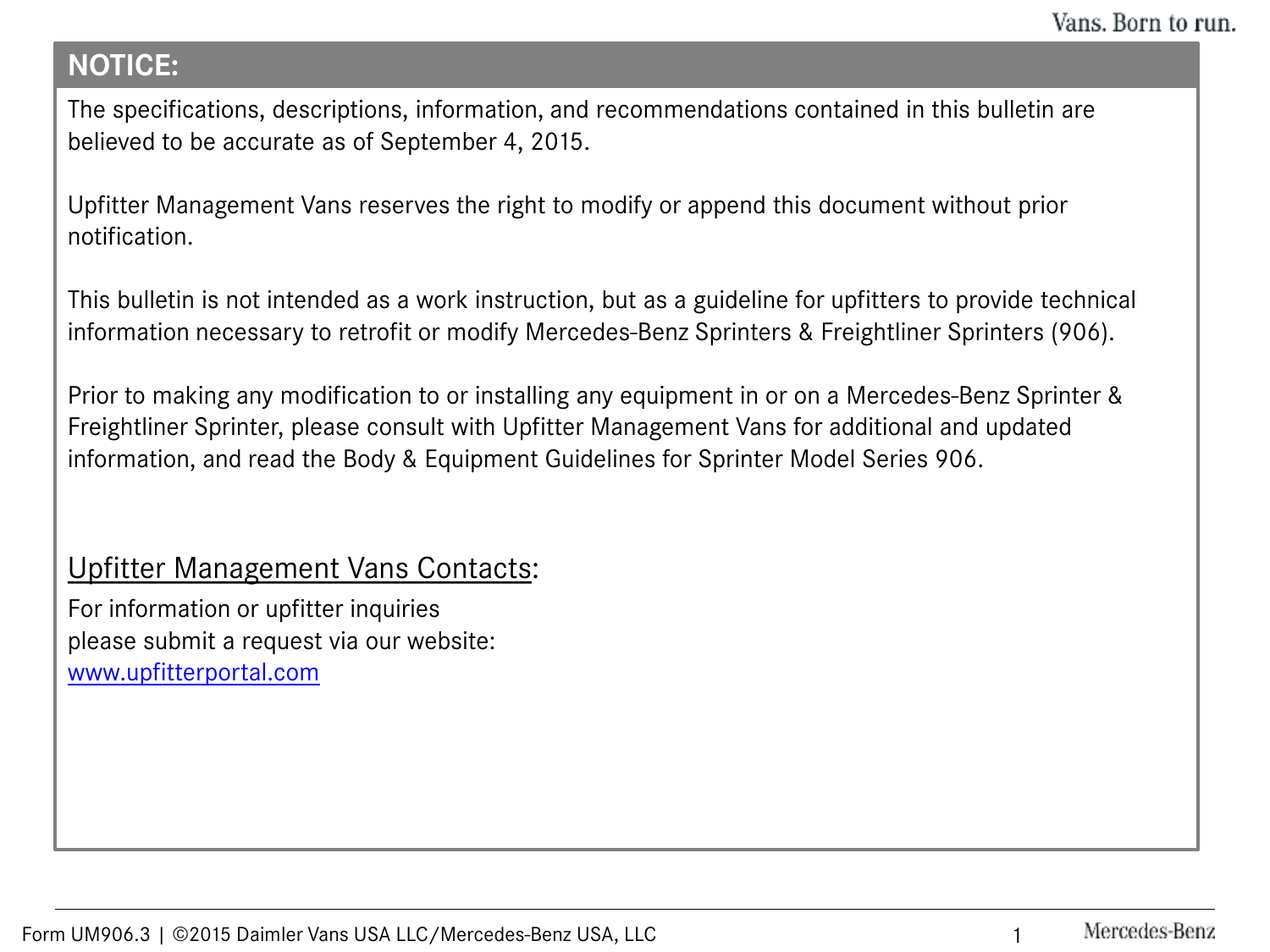## **NOTICE:**

The specifications, descriptions, information, and recommendations contained in this bulletin are believed to be accurate as of September 4, 2015.

Upfitter Management Vans reserves the right to modify or append this document without prior notification.

This bulletin is not intended as a work instruction, but as a guideline for upfitters to provide technical information necessary to retrofit or modify Mercedes-Benz Sprinters & Freightliner Sprinters (906).

Prior to making any modification to or installing any equipment in or on a Mercedes-Benz Sprinter & Freightliner Sprinter, please consult with Upfitter Management Vans for additional and updated information, and read the Body & Equipment Guidelines for Sprinter Model Series 906.

## Upfitter Management Vans Contacts:

For information or upfitter inquiries please submit a request via our website: [www.upfitterportal.com](http://www.upfitterportalcom/)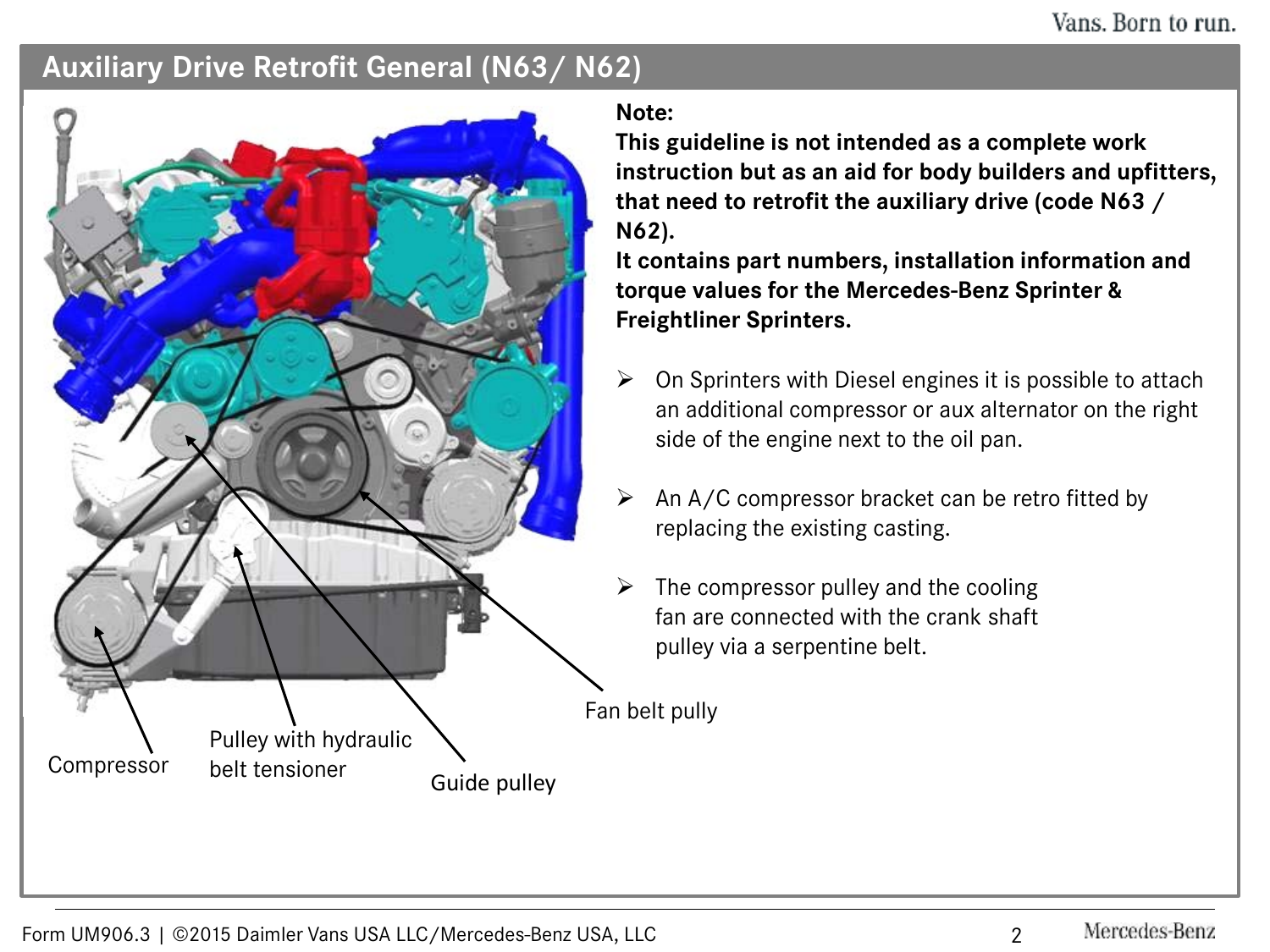#### **Auxiliary Drive Retrofit General (N63/ N62)**



**Note:**

**This guideline is not intended as a complete work instruction but as an aid for body builders and upfitters, that need to retrofit the auxiliary drive (code N63 / N62).**

**It contains part numbers, installation information and torque values for the Mercedes-Benz Sprinter & Freightliner Sprinters.**

- On Sprinters with Diesel engines it is possible to attach an additional compressor or aux alternator on the right side of the engine next to the oil pan.
- An A/C compressor bracket can be retro fitted by replacing the existing casting.
- The compressor pulley and the cooling fan are connected with the crank shaft pulley via a serpentine belt.

Fan belt pully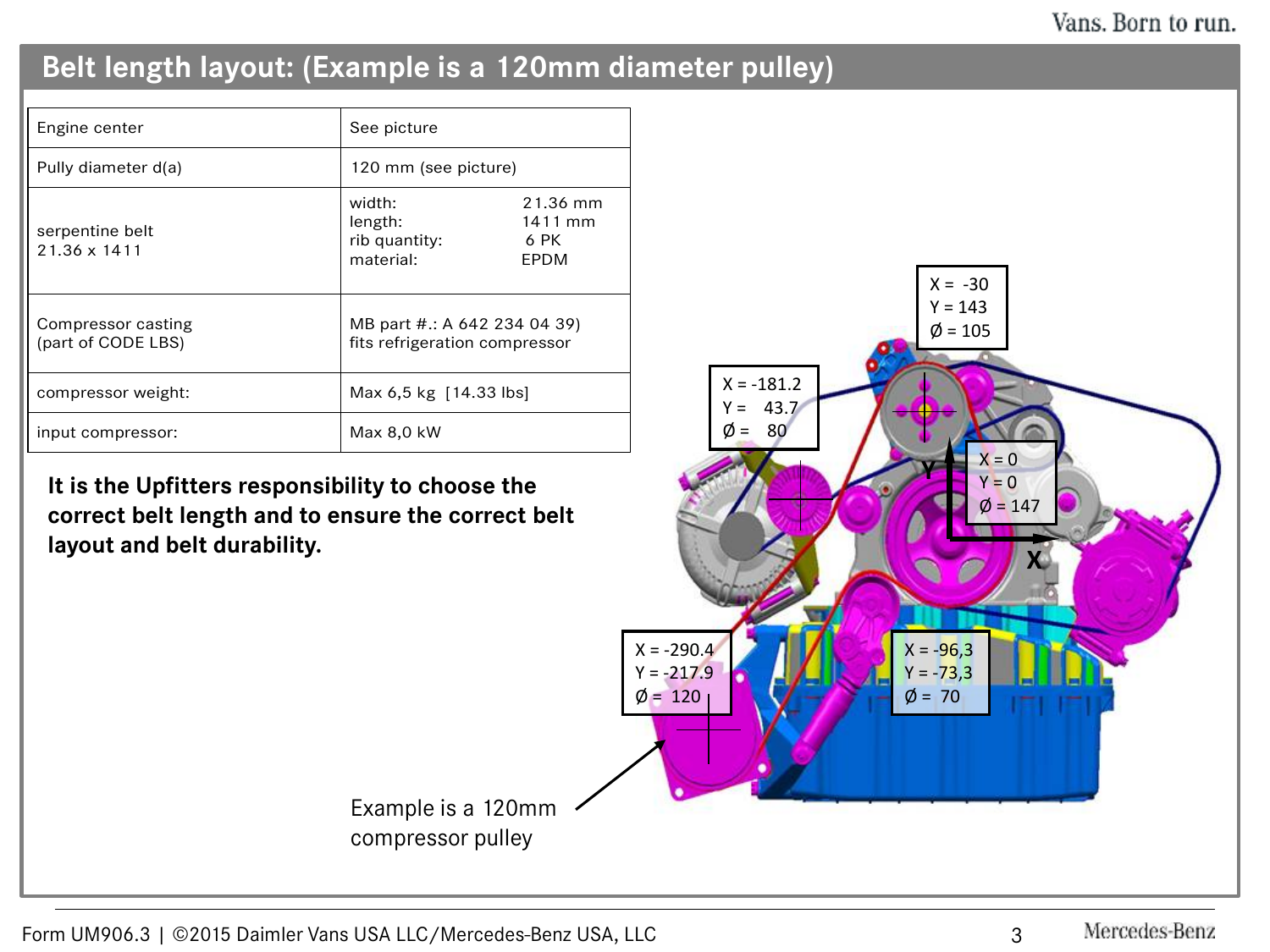# **Belt length layout: (Example is a 120mm diameter pulley)**

| Engine center                            | See picture                                                   |                                     |
|------------------------------------------|---------------------------------------------------------------|-------------------------------------|
| Pully diameter d(a)                      | 120 mm (see picture)                                          |                                     |
| serpentine belt<br>$21.36 \times 1411$   | width:<br>length:<br>rib quantity:<br>material:               | 21.36 mm<br>1411 mm<br>6 PK<br>EPDM |
| Compressor casting<br>(part of CODE LBS) | MB part #:: A 642 234 04 39)<br>fits refrigeration compressor |                                     |
| compressor weight:                       | Max 6.5 kg $[14.33$ lbs                                       |                                     |
| input compressor:                        | Max 8.0 kW                                                    |                                     |

**It is the Upfitters responsibility to choose the correct belt length and to ensure the correct belt layout and belt durability.** 

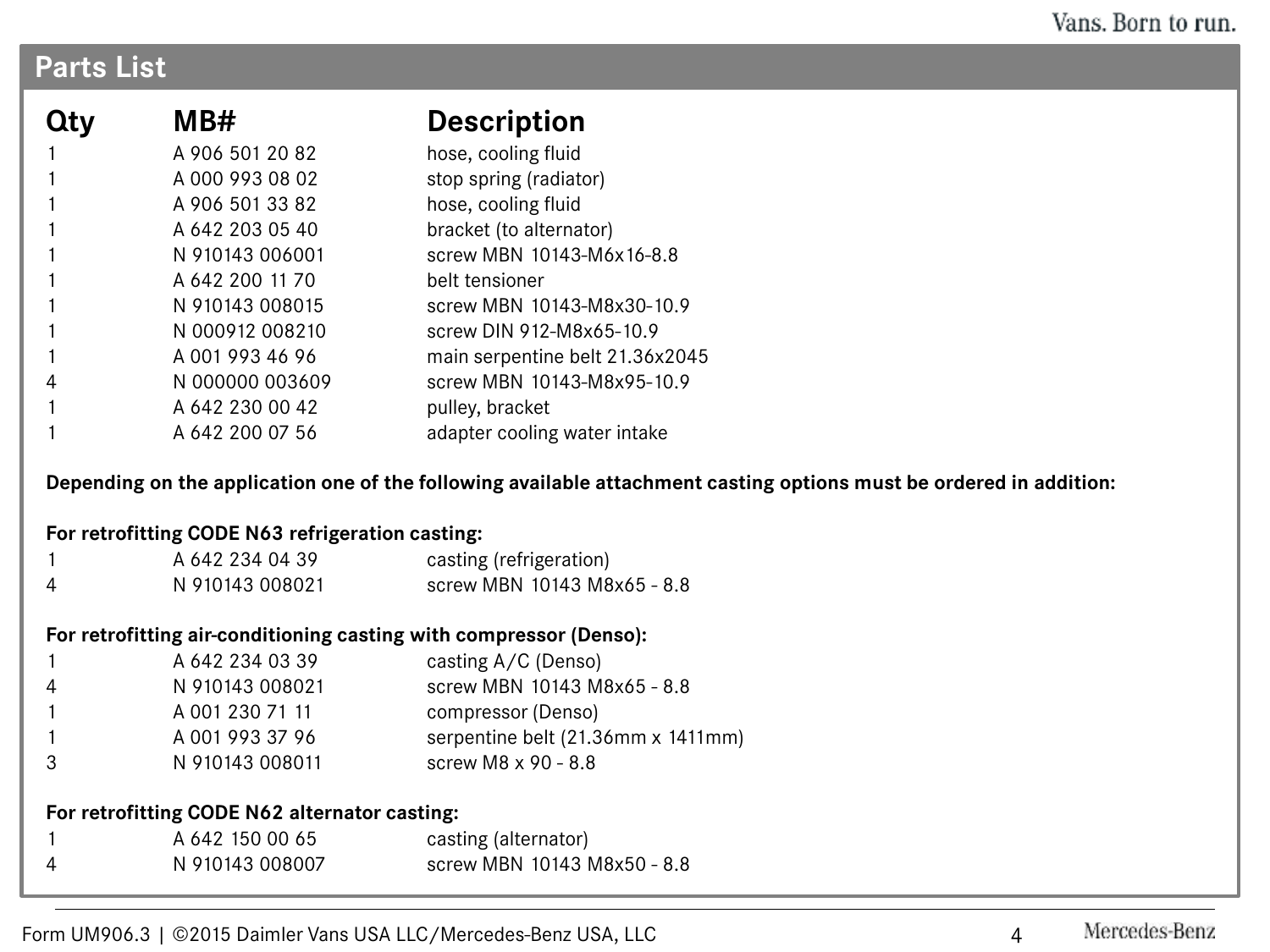## **Parts List**

| Qty | MB#             | <b>Description</b>              |  |
|-----|-----------------|---------------------------------|--|
|     | A 906 501 20 82 | hose, cooling fluid             |  |
|     | A 000 993 08 02 | stop spring (radiator)          |  |
|     | A 906 501 33 82 | hose, cooling fluid             |  |
|     | A 642 203 05 40 | bracket (to alternator)         |  |
|     | N 910143 006001 | screw MBN 10143-M6x16-8.8       |  |
|     | A 642 200 11 70 | belt tensioner                  |  |
|     | N 910143 008015 | screw MBN 10143-M8x30-10.9      |  |
|     | N 000912 008210 | screw DIN 912-M8x65-10.9        |  |
|     | A 001 993 46 96 | main serpentine belt 21.36x2045 |  |
|     | N 000000 003609 | screw MBN 10143-M8x95-10.9      |  |
|     | A 642 230 00 42 | pulley, bracket                 |  |
|     | A 642 200 07 56 | adapter cooling water intake    |  |

**Depending on the application one of the following available attachment casting options must be ordered in addition:**

#### **For retrofitting CODE N63 refrigeration casting:**

| A 642 234 04 39 | casting (refrigeration)     |
|-----------------|-----------------------------|
| N 910143 008021 | screw MBN 10143 M8x65 - 8.8 |

#### **For retrofitting air-conditioning casting with compressor (Denso):**

|              | A 642 234 03 39 | casting $A/C$ (Denso)              |
|--------------|-----------------|------------------------------------|
| 4            | N 910143 008021 | screw MBN 10143 M8x65 - 8.8        |
| $\mathbf{1}$ | A 001 230 71 11 | compressor (Denso)                 |
|              | A 001 993 37 96 | serpentine belt (21.36mm x 1411mm) |
| -3           | N 910143 008011 | screw M8 x 90 - 8.8                |

#### **For retrofitting CODE N62 alternator casting:**

|          | A 642 150 00 65 | casting (alternator)        |
|----------|-----------------|-----------------------------|
| $\Delta$ | N 910143 008007 | screw MBN 10143 M8x50 - 8.8 |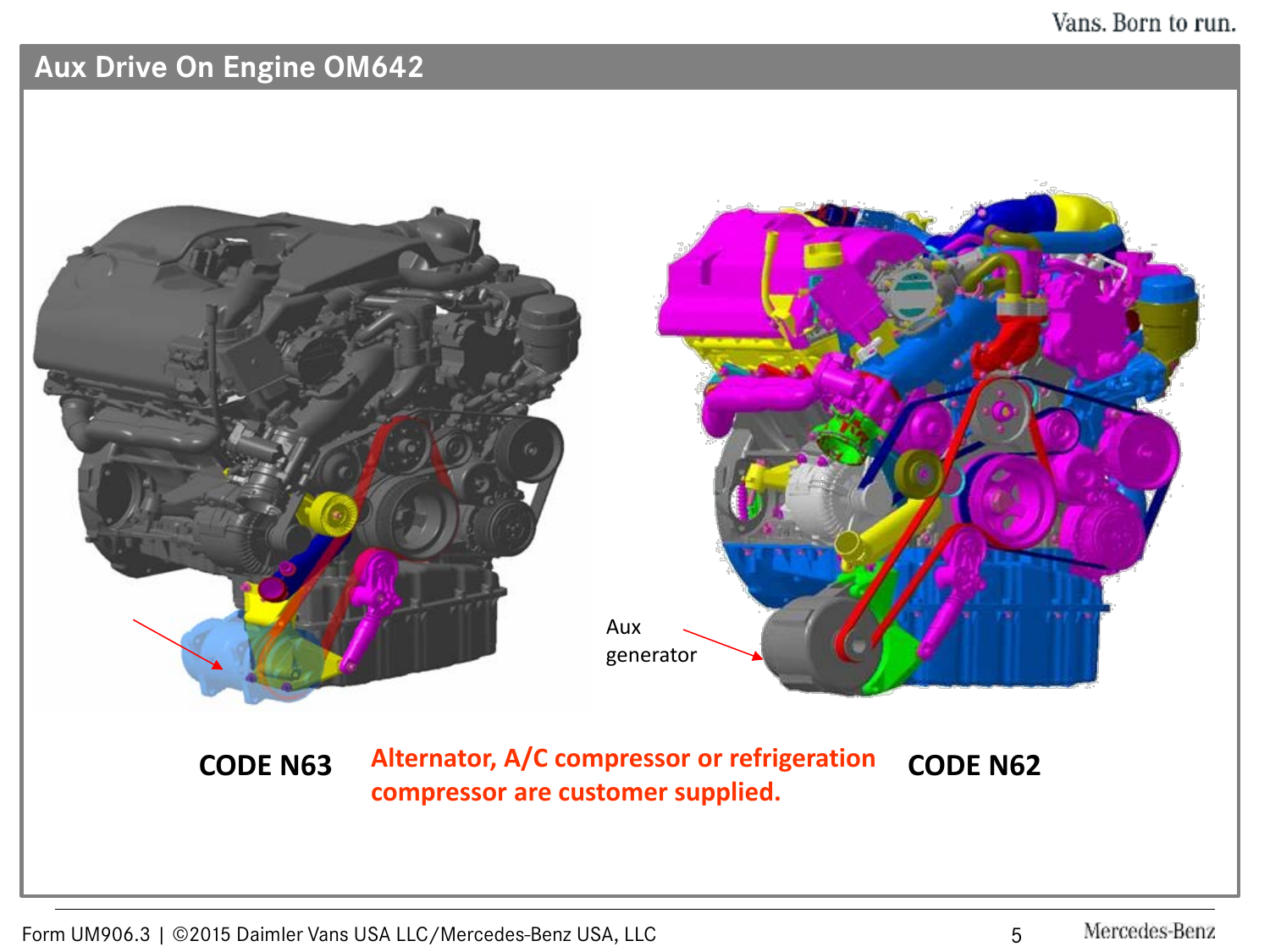# **Aux Drive On Engine OM642**

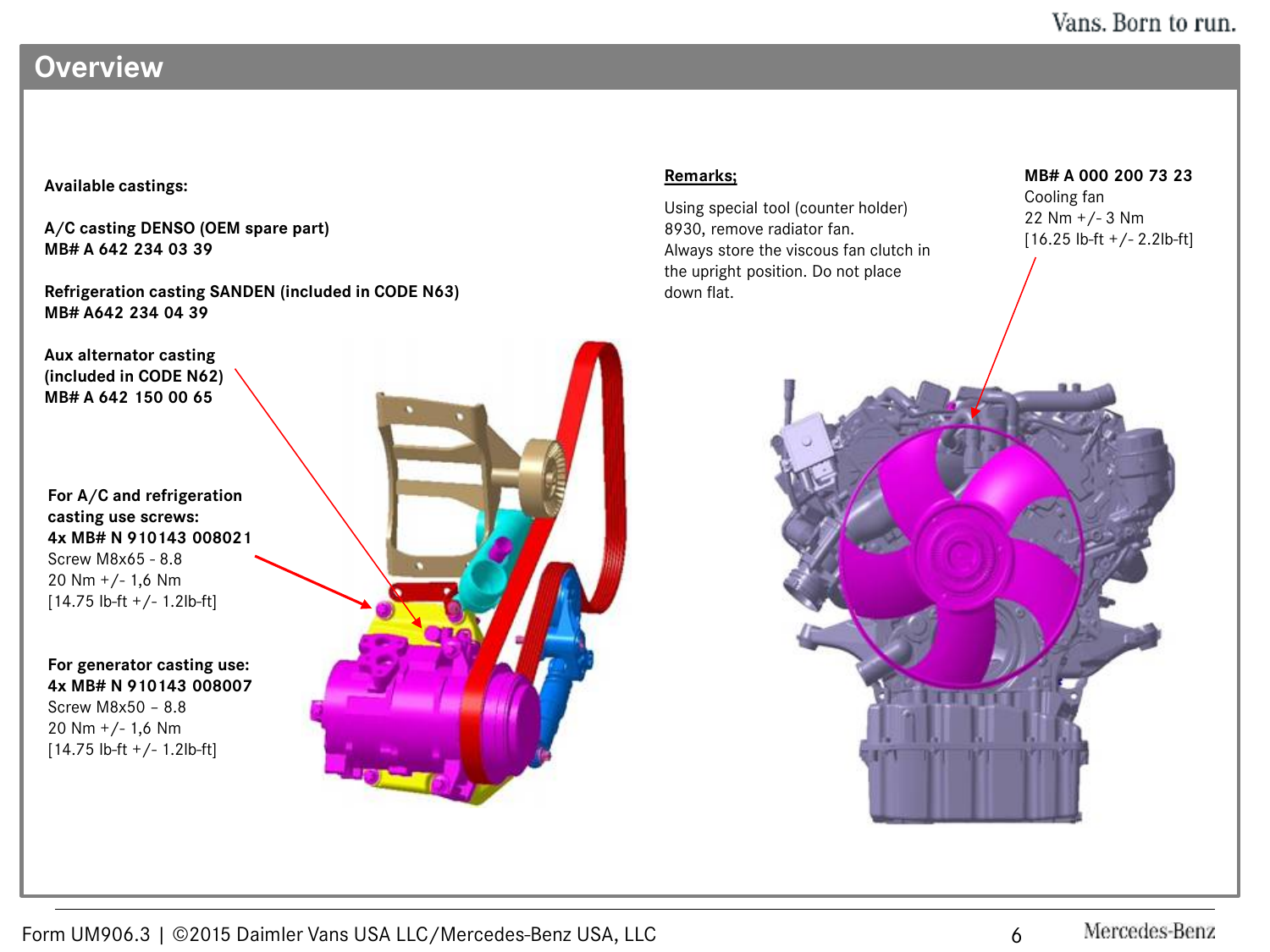## **Overview**

#### **Available castings:**

**A/C casting DENSO (OEM spare part) MB# A 642 234 03 39**

**Refrigeration casting SANDEN (included in CODE N63) MB# A642 234 04 39**

**Aux alternator casting (included in CODE N62) MB# A 642 150 00 65**

**For A/C and refrigeration casting use screws: 4x MB# N 910143 008021** Screw M8x65 - 8.8 20 Nm +/- 1,6 Nm  $[14.75$  lb-ft  $+/- 1.2$ lb-ft]

**For generator casting use: 4x MB# N 910143 008007** Screw M8x50 – 8.8 20 Nm +/- 1,6 Nm [14.75 lb-ft +/- 1.2lb-ft]



#### **Remarks;**

Using special tool (counter holder) 8930, remove radiator fan. Always store the viscous fan clutch in the upright position. Do not place down flat.

**MB# A 000 200 73 23**

Cooling fan 22 Nm +/- 3 Nm [16.25 lb-ft +/- 2.2lb-ft]

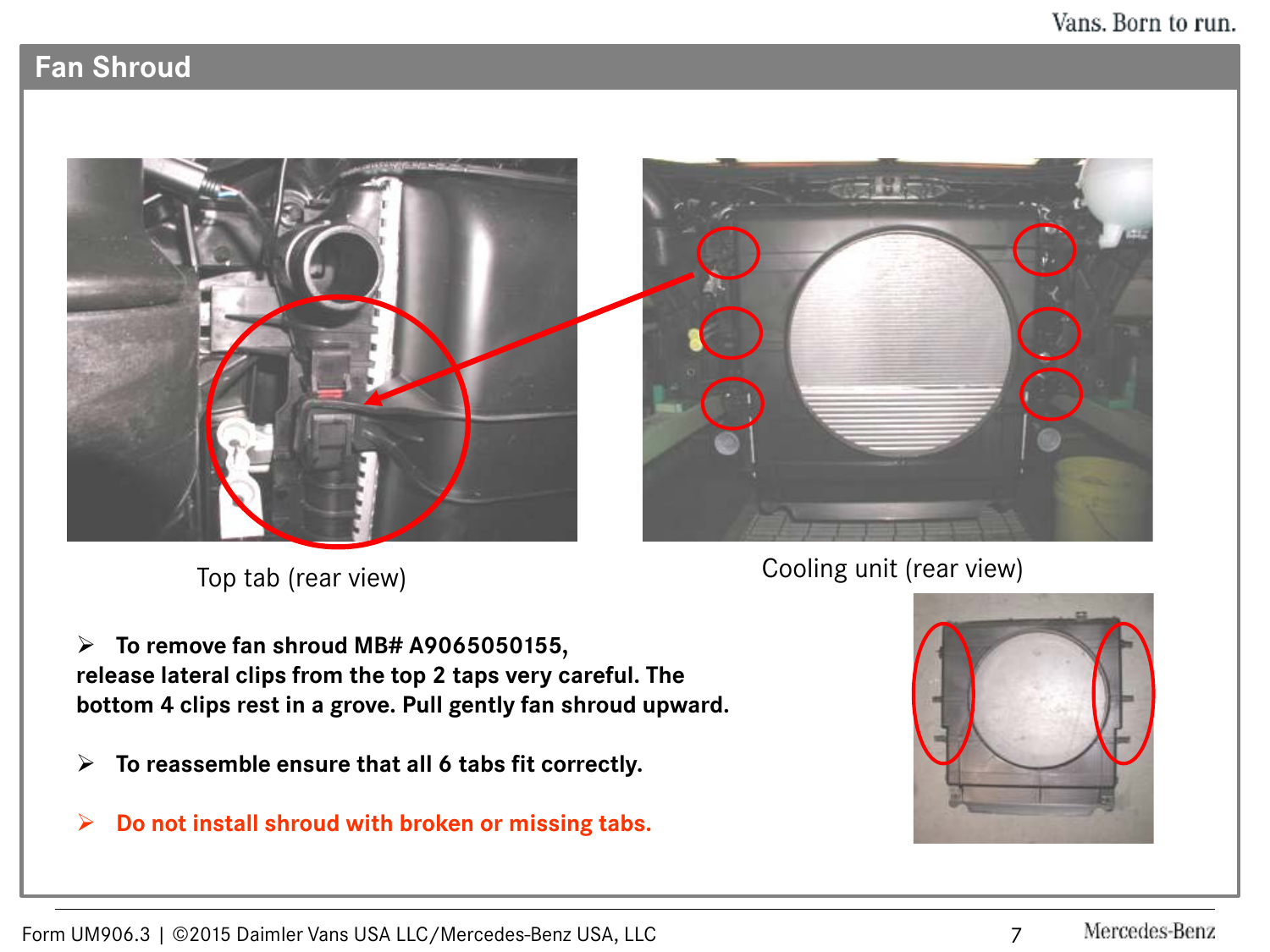# **Fan Shroud**





Top tab (rear view) Cooling unit (rear view)

 **To remove fan shroud MB# A9065050155, release lateral clips from the top 2 taps very careful. The bottom 4 clips rest in a grove. Pull gently fan shroud upward.** 

- **To reassemble ensure that all 6 tabs fit correctly.**
- **Do not install shroud with broken or missing tabs.**

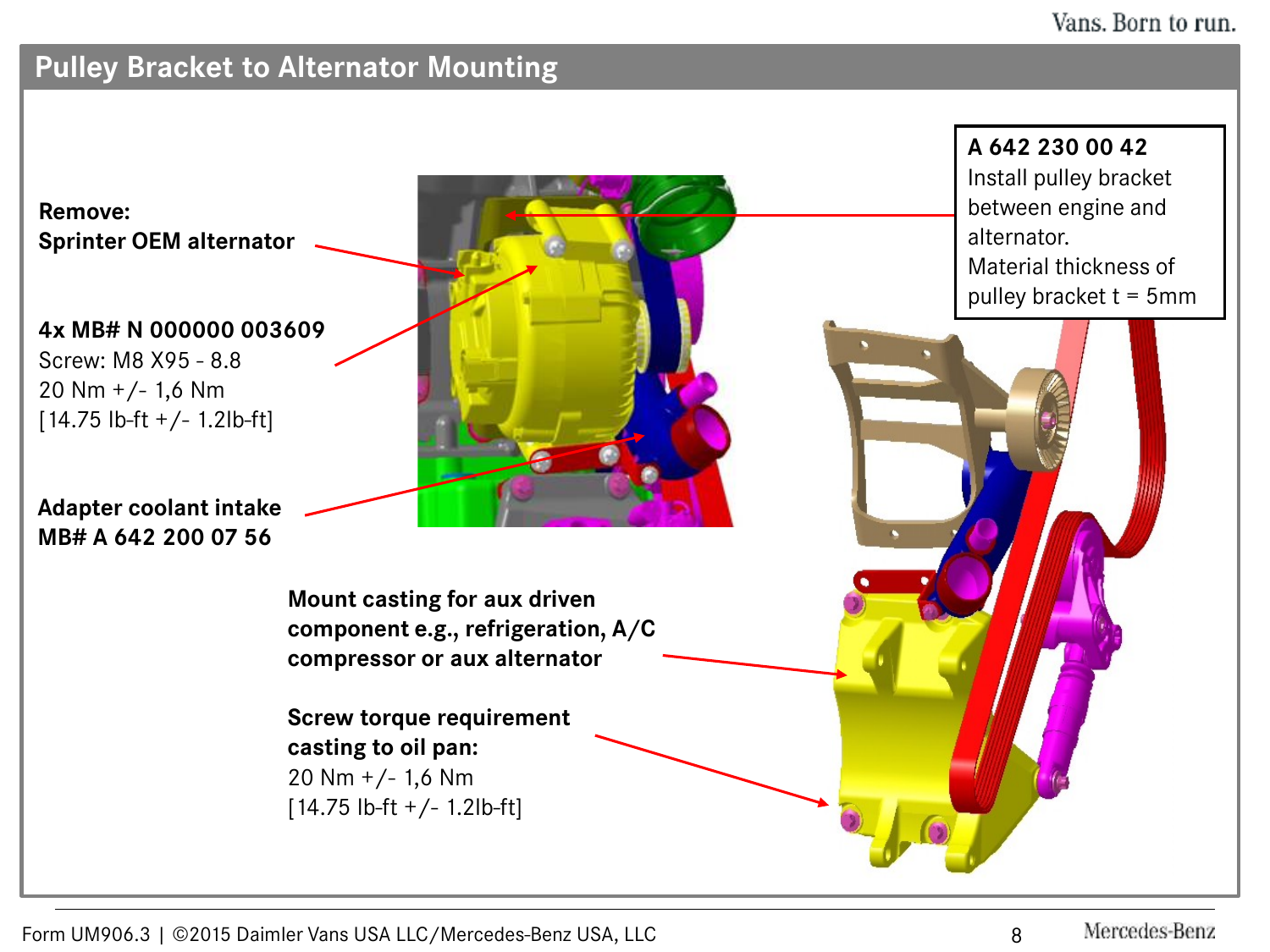# **Pulley Bracket to Alternator Mounting**

**Remove: Sprinter OEM alternator**

**4x MB# N 000000 003609** Screw: M8 X95 - 8.8 20 Nm  $+/-$  1,6 Nm

**Adapter coolant intake MB# A 642 200 07 56**

 $[14.75$  lb-ft  $+/- 1.2$ lb-ft]

**Mount casting for aux driven component e.g., refrigeration, A/C compressor or aux alternator**

**Screw torque requirement casting to oil pan:** 20 Nm +/- 1,6 Nm [14.75 lb-ft +/- 1.2lb-ft]

**A 642 230 00 42** Install pulley bracket between engine and alternator. Material thickness of pulley bracket  $t = 5$ mm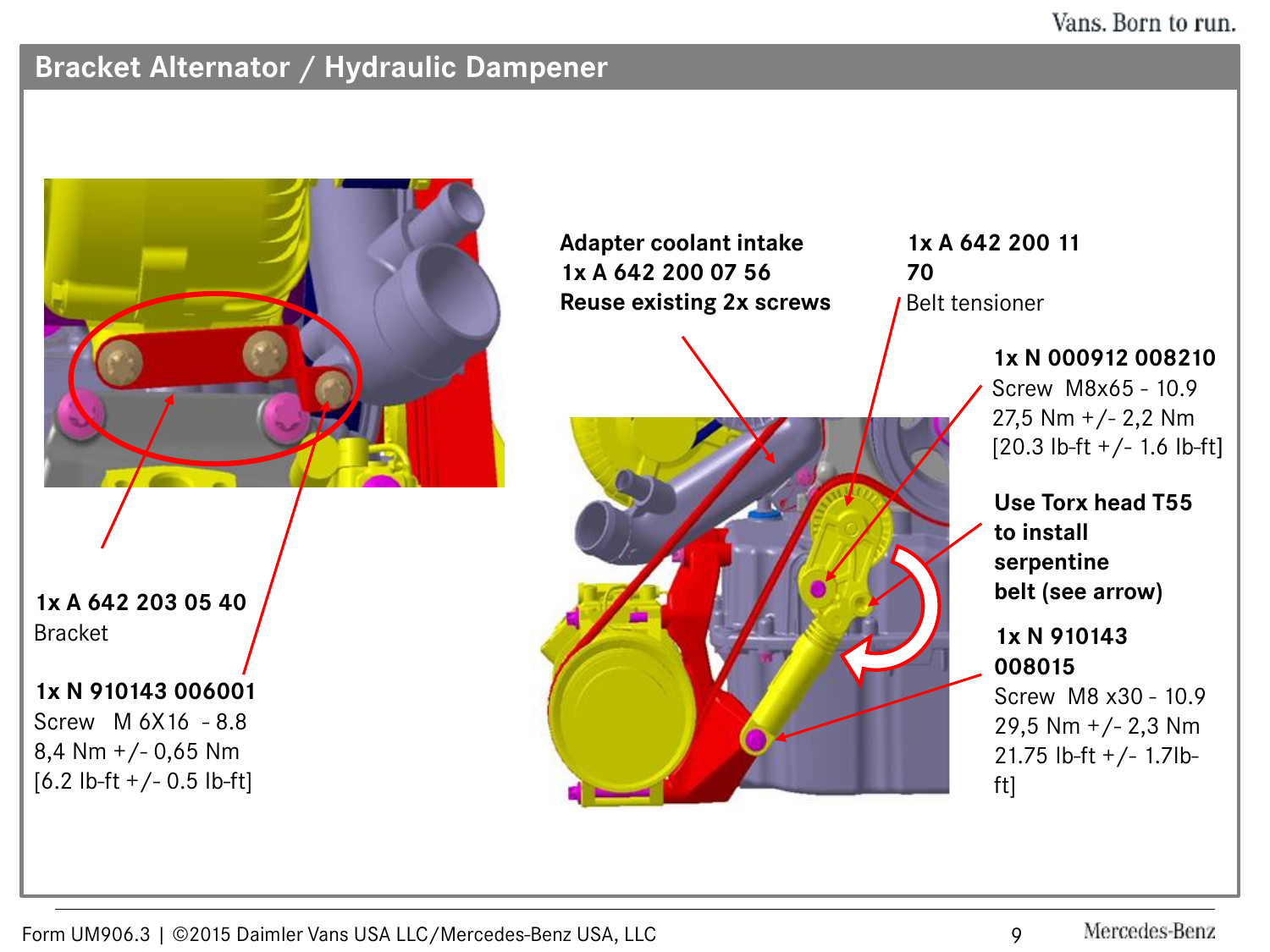## **Bracket Alternator / Hydraulic Dampener**

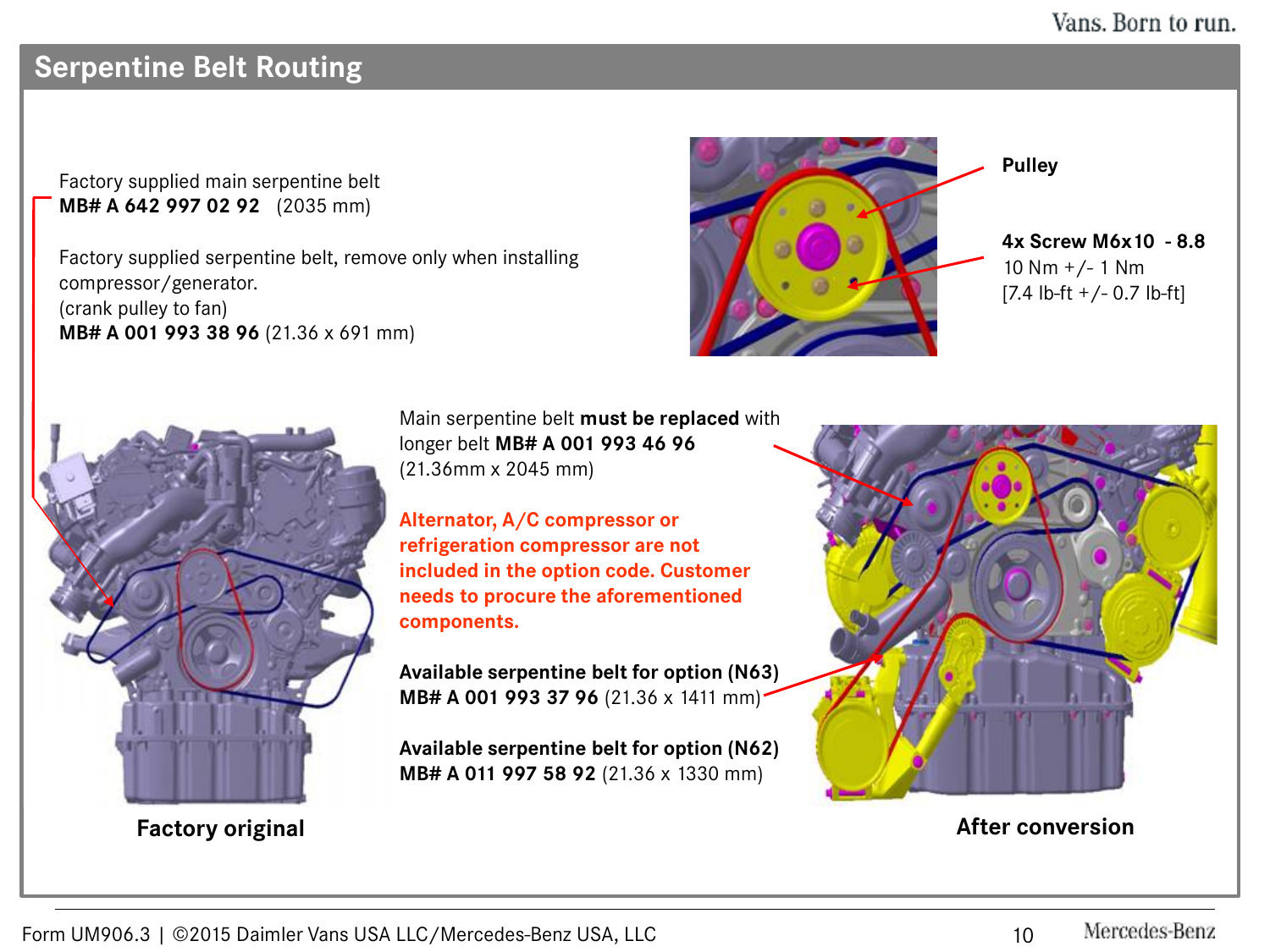# **Serpentine Belt Routing**

Factory supplied main serpentine belt **MB# A 642 997 02 92** (2035 mm)

Factory supplied serpentine belt, remove only when installing compressor/generator. (crank pulley to fan) **MB# A 001 993 38 96** (21.36 x 691 mm)



**4x Screw M6x10 - 8.8** 10  $Nm +/- 1 Nm$  $[7.4 \text{ lb-fit} +/- 0.7 \text{ lb-fit}]$ 



Main serpentine belt **must be replaced** with longer belt **MB# A 001 993 46 96**  (21.36mm x 2045 mm)

**Alternator, A/C compressor or refrigeration compressor are not included in the option code. Customer needs to procure the aforementioned components.**

**Available serpentine belt for option (N63) MB# A 001 993 37 96** (21.36 x 1411 mm)

**Available serpentine belt for option (N62) MB# A 011 997 58 92** (21.36 x 1330 mm)



#### **Factory original After conversion**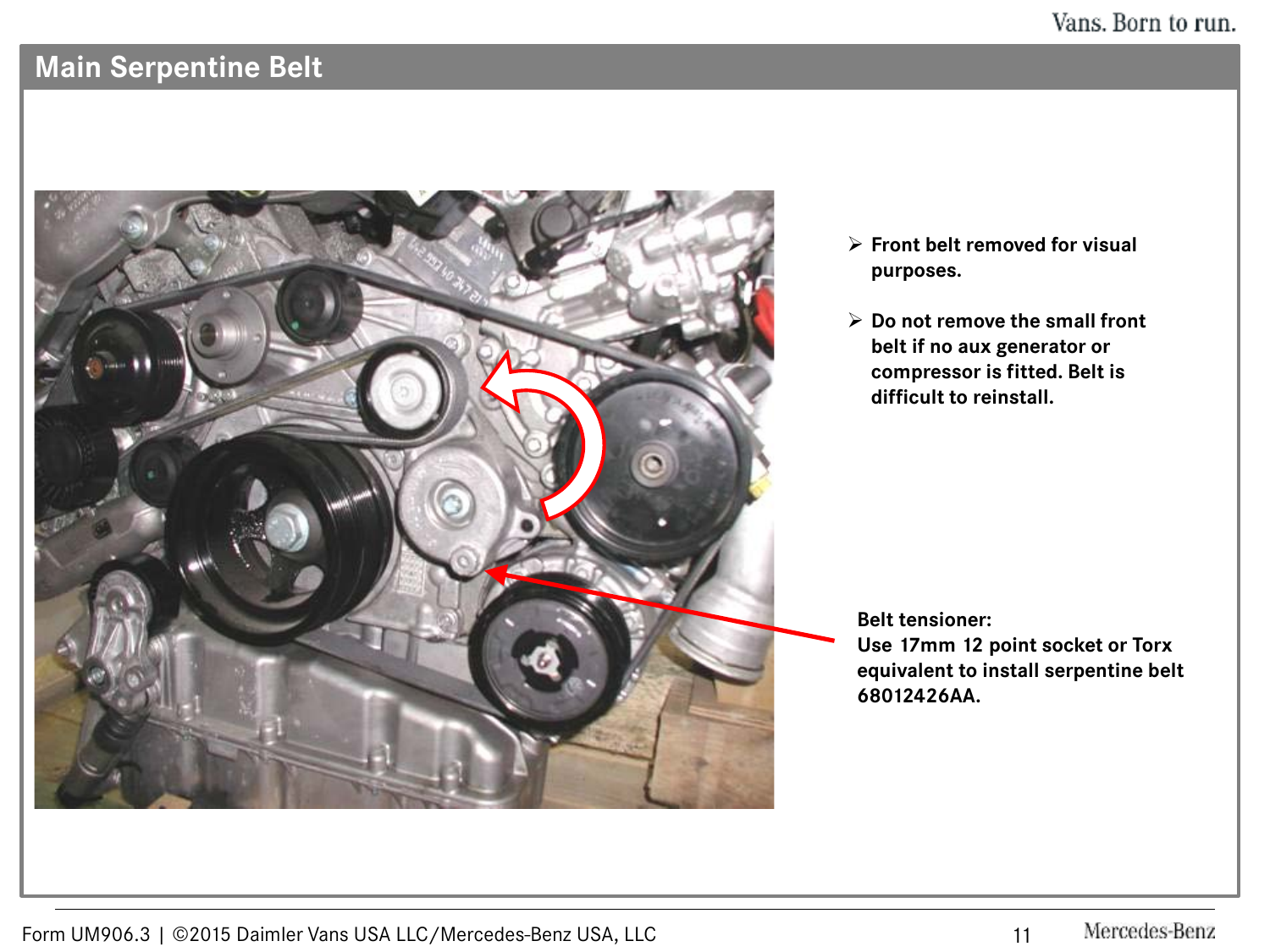# **Main Serpentine Belt**



- **Front belt removed for visual purposes.**
- **Do not remove the small front belt if no aux generator or compressor is fitted. Belt is difficult to reinstall.**

**Belt tensioner:**

**Use 17mm 12 point socket or Torx equivalent to install serpentine belt 68012426AA.**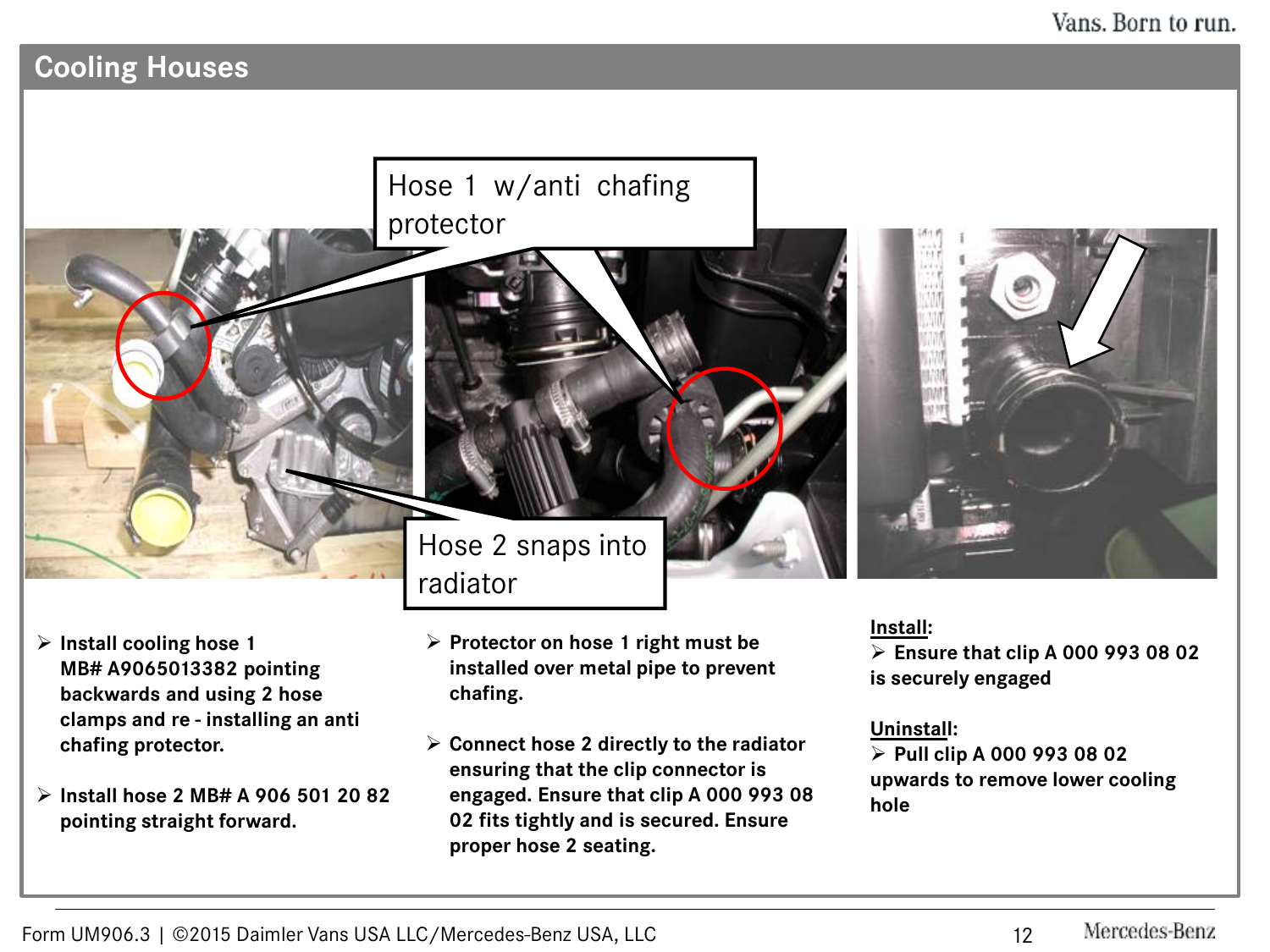# **Cooling Houses**

# Hose 1 w/anti chafing protector



 **Install hose 2 MB# A 906 501 20 82 pointing straight forward.** 

Hose 2 snaps into radiator

- **Protector on hose 1 right must be installed over metal pipe to prevent chafing.**
- **Connect hose 2 directly to the radiator ensuring that the clip connector is engaged. Ensure that clip A 000 993 08 02 fits tightly and is secured. Ensure proper hose 2 seating.**

**Install:**

 **Ensure that clip A 000 993 08 02 is securely engaged**

#### **Uninstall:**

 **Pull clip A 000 993 08 02 upwards to remove lower cooling hole**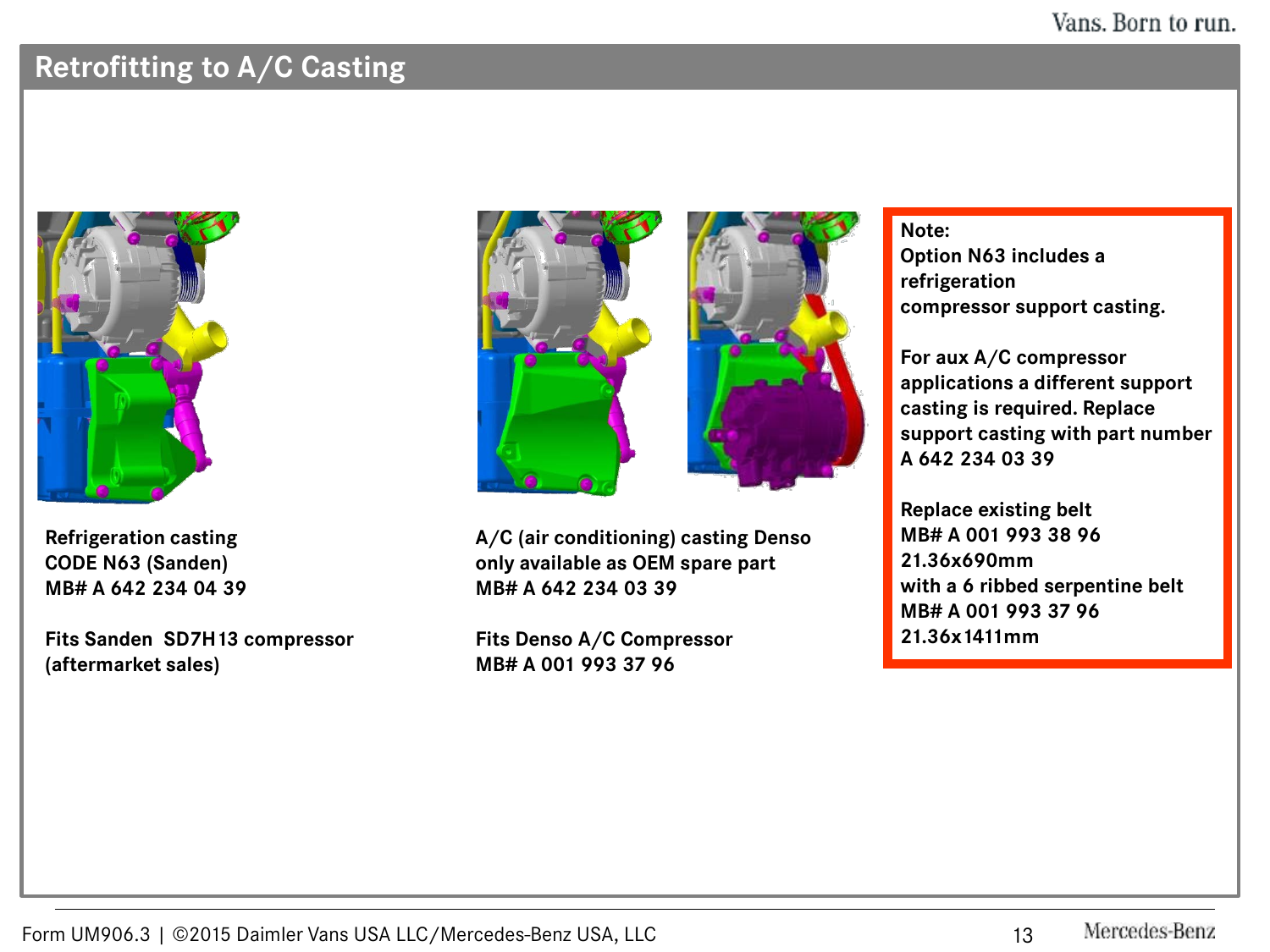## **Retrofitting to A/C Casting**



**Refrigeration casting CODE N63 (Sanden) MB# A 642 234 04 39**

**Fits Sanden SD7H13 compressor (aftermarket sales)**



**A/C (air conditioning) casting Denso only available as OEM spare part MB# A 642 234 03 39**

**Fits Denso A/C Compressor MB# A 001 993 37 96**

**Note: Option N63 includes a refrigeration compressor support casting.**

**For aux A/C compressor applications a different support casting is required. Replace support casting with part number A 642 234 03 39**

**Replace existing belt MB# A 001 993 38 96 21.36x690mm with a 6 ribbed serpentine belt MB# A 001 993 37 96 21.36x1411mm**